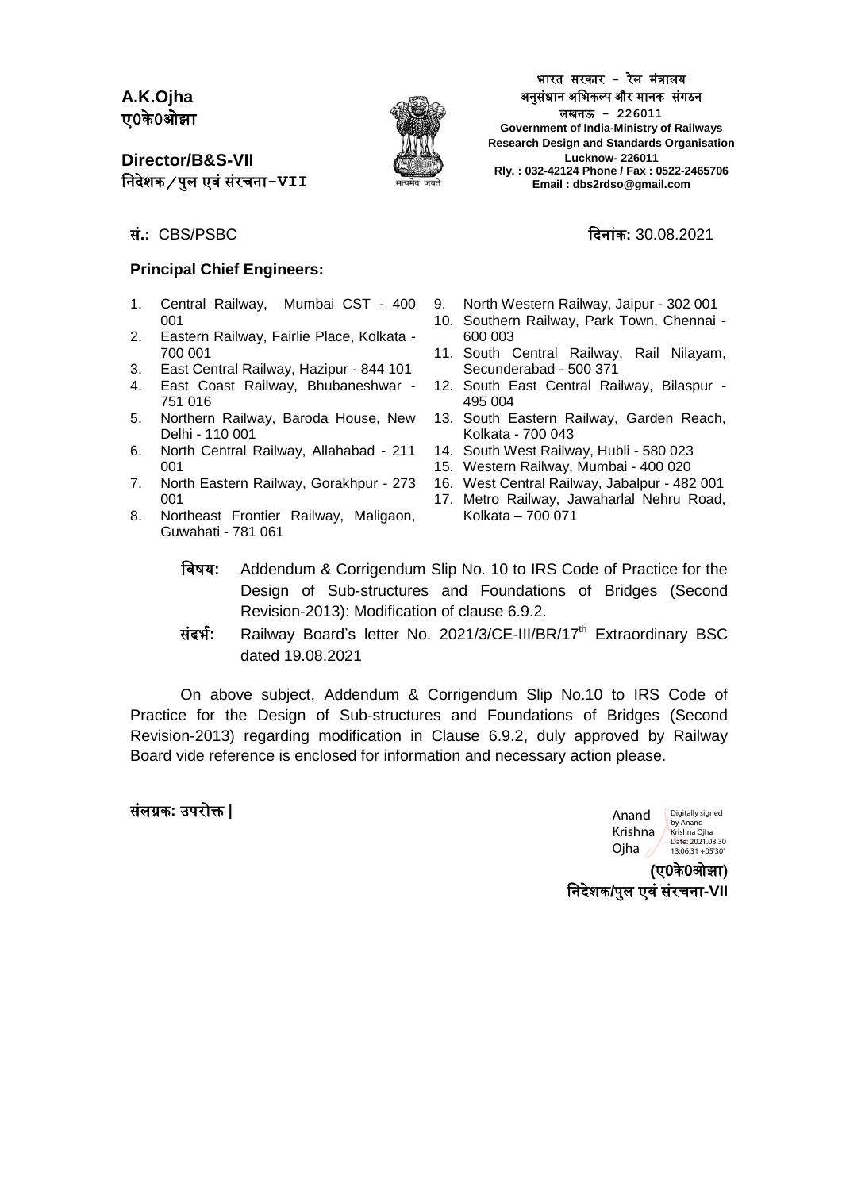**A.K.Ojha** ए**0**के**0**ओझ

**Director/B&S-VII** निदेशक ⁄ पुल एवं संरचना-**VII** 



भारत सरकार - रेल मंत्रालय अनुसंधान अभिकल्प और मानक संगठन लखनऊ **- 226011 Government of India-Ministry of Railways Research Design and Standards Organisation Lucknow- 226011 Rly. : 032-42124 Phone / Fax : 0522-2465706 Email : dbs2rdso@gmail.com**

सं**.:** CBS/PSBC दिन ंक**:** 30.08.2021

#### **Principal Chief Engineers:**

- 1. Central Railway, Mumbai CST 400 001
- 2. Eastern Railway, Fairlie Place, Kolkata 700 001
- 3. East Central Railway, Hazipur 844 101
- 4. East Coast Railway, Bhubaneshwar 751 016
- 5. Northern Railway, Baroda House, New Delhi - 110 001
- 6. North Central Railway, Allahabad 211 001
- 7. North Eastern Railway, Gorakhpur 273 001
- 8. Northeast Frontier Railway, Maligaon, Guwahati - 781 061
- 9. North Western Railway, Jaipur 302 001
- 10. Southern Railway, Park Town, Chennai 600 003
- 11. South Central Railway, Rail Nilayam, Secunderabad - 500 371
- 12. South East Central Railway, Bilaspur 495 004
- 13. South Eastern Railway, Garden Reach, Kolkata - 700 043
- 14. South West Railway, Hubli 580 023
- 15. Western Railway, Mumbai 400 020
- 16. West Central Railway, Jabalpur 482 001
- 17. Metro Railway, Jawaharlal Nehru Road, Kolkata – 700 071
- विषय**:** Addendum & Corrigendum Slip No. 10 to IRS Code of Practice for the Design of Sub-structures and Foundations of Bridges (Second Revision-2013): Modification of clause 6.9.2.
- संिर्भ**:** Railway Board's letter No. 2021/3/CE-III/BR/17th Extraordinary BSC dated 19.08.2021

On above subject, Addendum & Corrigendum Slip No.10 to IRS Code of Practice for the Design of Sub-structures and Foundations of Bridges (Second Revision-2013) regarding modification in Clause 6.9.2, duly approved by Railway Board vide reference is enclosed for information and necessary action please.

#### संलग्नक**:** उपरोक्त **|**

Anand Krishna Ojha Digitally signed by Anand Krishna Ojha Date: 2021.08.30 13:06:31 +05'30'

**(**ए**0**के**0**ओझ **)** वनिेशक**/**पुल एिंसंरचन **-VII**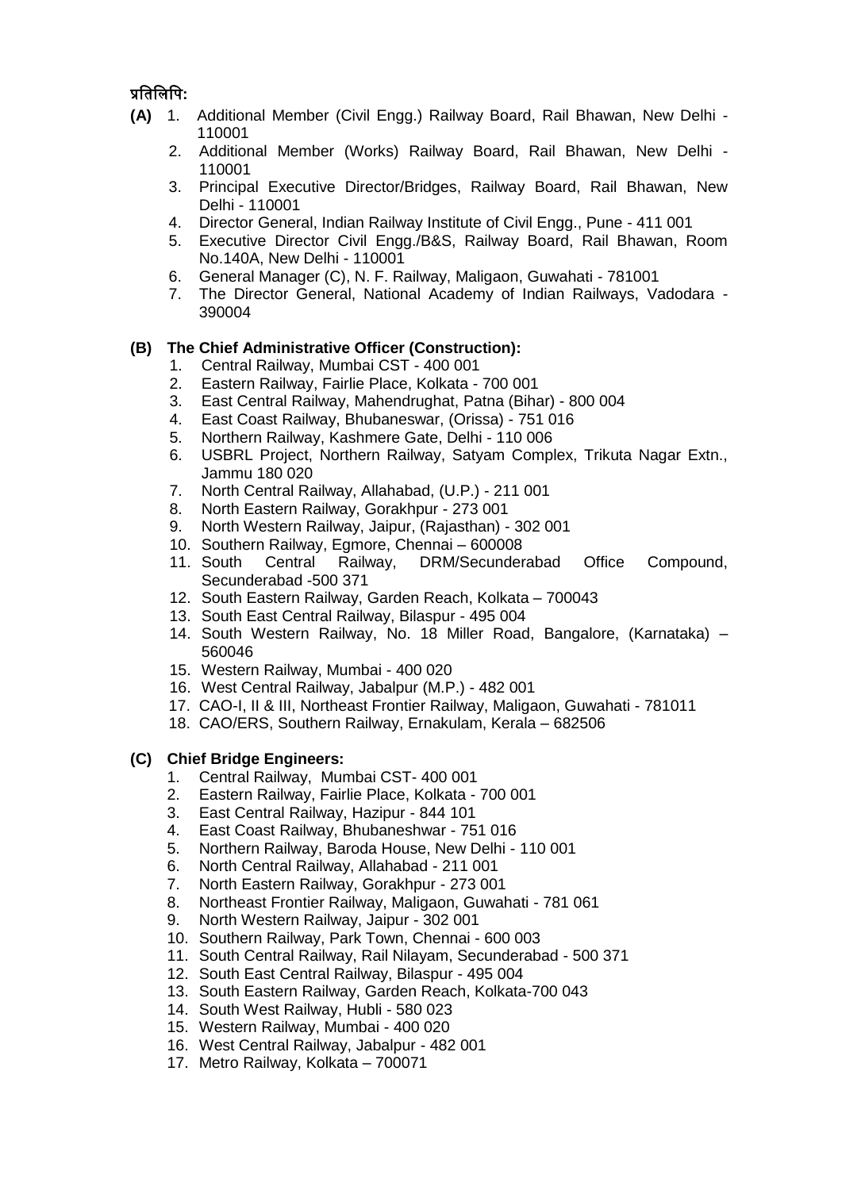## प्रवतवलवप**:**

- **(A)** 1. Additional Member (Civil Engg.) Railway Board, Rail Bhawan, New Delhi 110001
	- 2. Additional Member (Works) Railway Board, Rail Bhawan, New Delhi 110001
	- 3. Principal Executive Director/Bridges, Railway Board, Rail Bhawan, New Delhi - 110001
	- 4. Director General, Indian Railway Institute of Civil Engg., Pune 411 001
	- 5. Executive Director Civil Engg./B&S, Railway Board, Rail Bhawan, Room No.140A, New Delhi - 110001
	- 6. General Manager (C), N. F. Railway, Maligaon, Guwahati 781001
	- 7. The Director General, National Academy of Indian Railways, Vadodara 390004

#### **(B) The Chief Administrative Officer (Construction):**

- 1. Central Railway, Mumbai CST 400 001
- 2. Eastern Railway, Fairlie Place, Kolkata 700 001
- 3. East Central Railway, Mahendrughat, Patna (Bihar) 800 004
- 4. East Coast Railway, Bhubaneswar, (Orissa) 751 016
- 5. Northern Railway, Kashmere Gate, Delhi 110 006
- 6. USBRL Project, Northern Railway, Satyam Complex, Trikuta Nagar Extn., Jammu 180 020
- 7. North Central Railway, Allahabad, (U.P.) 211 001
- 8. North Eastern Railway, Gorakhpur 273 001
- 9. North Western Railway, Jaipur, (Rajasthan) 302 001
- 10. Southern Railway, Egmore, Chennai 600008
- 11. South Central Railway, DRM/Secunderabad Office Compound, Secunderabad -500 371
- 12. South Eastern Railway, Garden Reach, Kolkata 700043
- 13. South East Central Railway, Bilaspur 495 004
- 14. South Western Railway, No. 18 Miller Road, Bangalore, (Karnataka) 560046
- 15. Western Railway, Mumbai 400 020
- 16. West Central Railway, Jabalpur (M.P.) 482 001
- 17. CAO-I, II & III, Northeast Frontier Railway, Maligaon, Guwahati 781011
- 18. CAO/ERS, Southern Railway, Ernakulam, Kerala 682506

#### **(C) Chief Bridge Engineers:**

- 1. Central Railway, Mumbai CST- 400 001
- 2. Eastern Railway, Fairlie Place, Kolkata 700 001
- 3. East Central Railway, Hazipur 844 101
- 4. East Coast Railway, Bhubaneshwar 751 016
- 5. Northern Railway, Baroda House, New Delhi 110 001
- 6. North Central Railway, Allahabad 211 001
- 7. North Eastern Railway, Gorakhpur 273 001
- 8. Northeast Frontier Railway, Maligaon, Guwahati 781 061
- 9. North Western Railway, Jaipur 302 001
- 10. Southern Railway, Park Town, Chennai 600 003
- 11. South Central Railway, Rail Nilayam, Secunderabad 500 371
- 12. South East Central Railway, Bilaspur 495 004
- 13. South Eastern Railway, Garden Reach, Kolkata-700 043
- 14. South West Railway, Hubli 580 023
- 15. Western Railway, Mumbai 400 020
- 16. West Central Railway, Jabalpur 482 001
- 17. Metro Railway, Kolkata 700071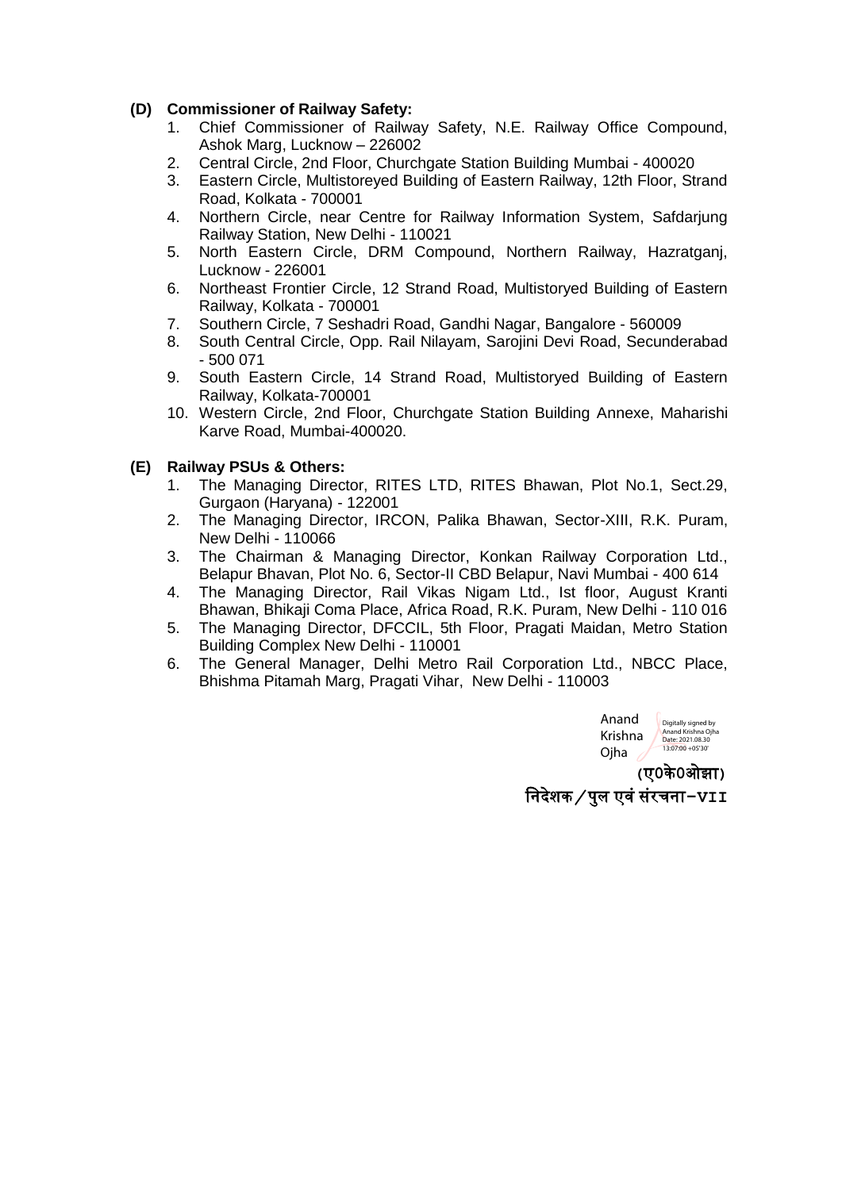#### **(D) Commissioner of Railway Safety:**

- 1. Chief Commissioner of Railway Safety, N.E. Railway Office Compound, Ashok Marg, Lucknow – 226002
- 2. Central Circle, 2nd Floor, Churchgate Station Building Mumbai 400020
- 3. Eastern Circle, Multistoreyed Building of Eastern Railway, 12th Floor, Strand Road, Kolkata - 700001
- 4. Northern Circle, near Centre for Railway Information System, Safdarjung Railway Station, New Delhi - 110021
- 5. North Eastern Circle, DRM Compound, Northern Railway, Hazratganj, Lucknow - 226001
- 6. Northeast Frontier Circle, 12 Strand Road, Multistoryed Building of Eastern Railway, Kolkata - 700001
- 7. Southern Circle, 7 Seshadri Road, Gandhi Nagar, Bangalore 560009
- 8. South Central Circle, Opp. Rail Nilayam, Sarojini Devi Road, Secunderabad - 500 071
- 9. South Eastern Circle, 14 Strand Road, Multistoryed Building of Eastern Railway, Kolkata-700001
- 10. Western Circle, 2nd Floor, Churchgate Station Building Annexe, Maharishi Karve Road, Mumbai-400020.

#### **(E) Railway PSUs & Others:**

- 1. The Managing Director, RITES LTD, RITES Bhawan, Plot No.1, Sect.29, Gurgaon (Haryana) - 122001
- 2. The Managing Director, IRCON, Palika Bhawan, Sector-XIII, R.K. Puram, New Delhi - 110066
- 3. The Chairman & Managing Director, Konkan Railway Corporation Ltd., Belapur Bhavan, Plot No. 6, Sector-II CBD Belapur, Navi Mumbai - 400 614
- 4. The Managing Director, Rail Vikas Nigam Ltd., Ist floor, August Kranti Bhawan, Bhikaji Coma Place, Africa Road, R.K. Puram, New Delhi - 110 016
- 5. The Managing Director, DFCCIL, 5th Floor, Pragati Maidan, Metro Station Building Complex New Delhi - 110001
- 6. The General Manager, Delhi Metro Rail Corporation Ltd., NBCC Place, Bhishma Pitamah Marg, Pragati Vihar, New Delhi - 110003



**(**ए**0**के**0**ओझ **)** वनिेशक@पुल एिं संरचन **-VII**